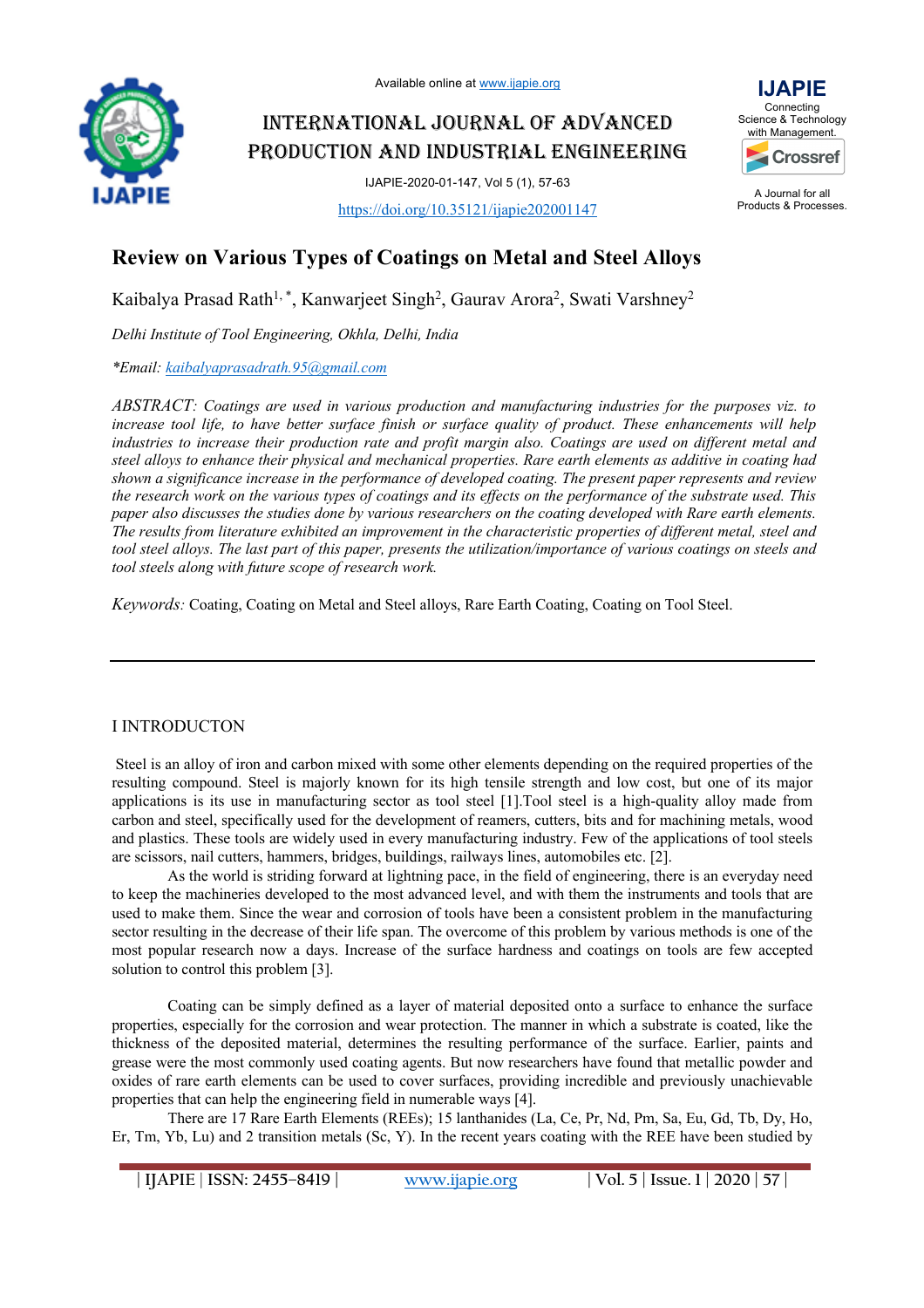

INTERNATIONAL JOURNAL OF ADVANCED PRODUCTION AND INDUSTRIAL ENGINEERING

IJAPIE-2020-01-147, Vol 5 (1), 57-63

https://doi.org/10.35121/ijapie202001147



A Journal for all Products & Processes.

# **Review on Various Types of Coatings on Metal and Steel Alloys**

Kaibalya Prasad Rath<sup>1,\*</sup>, Kanwarjeet Singh<sup>2</sup>, Gaurav Arora<sup>2</sup>, Swati Varshney<sup>2</sup>

*Delhi Institute of Tool Engineering, Okhla, Delhi, India*

*\*Email: kaibalyaprasadrath.95@gmail.com*

*ABSTRACT: Coatings are used in various production and manufacturing industries for the purposes viz. to increase tool life, to have better surface finish or surface quality of product. These enhancements will help industries to increase their production rate and profit margin also. Coatings are used on different metal and steel alloys to enhance their physical and mechanical properties. Rare earth elements as additive in coating had shown a significance increase in the performance of developed coating. The present paper represents and review the research work on the various types of coatings and its effects on the performance of the substrate used. This paper also discusses the studies done by various researchers on the coating developed with Rare earth elements. The results from literature exhibited an improvement in the characteristic properties of different metal, steel and tool steel alloys. The last part of this paper, presents the utilization/importance of various coatings on steels and tool steels along with future scope of research work.*

*Keywords:* Coating, Coating on Metal and Steel alloys, Rare Earth Coating, Coating on Tool Steel.

## I INTRODUCTON

Steel is an alloy of iron and carbon mixed with some other elements depending on the required properties of the resulting compound. Steel is majorly known for its high tensile strength and low cost, but one of its major applications is its use in manufacturing sector as tool steel [1].Tool steel is a high-quality alloy made from carbon and steel, specifically used for the development of reamers, cutters, bits and for machining metals, wood and plastics. These tools are widely used in every manufacturing industry. Few of the applications of tool steels are scissors, nail cutters, hammers, bridges, buildings, railways lines, automobiles etc. [2].

As the world is striding forward at lightning pace, in the field of engineering, there is an everyday need to keep the machineries developed to the most advanced level, and with them the instruments and tools that are used to make them. Since the wear and corrosion of tools have been a consistent problem in the manufacturing sector resulting in the decrease of their life span. The overcome of this problem by various methods is one of the most popular research now a days. Increase of the surface hardness and coatings on tools are few accepted solution to control this problem [3].

Coating can be simply defined as a layer of material deposited onto a surface to enhance the surface properties, especially for the corrosion and wear protection. The manner in which a substrate is coated, like the thickness of the deposited material, determines the resulting performance of the surface. Earlier, paints and grease were the most commonly used coating agents. But now researchers have found that metallic powder and oxides of rare earth elements can be used to cover surfaces, providing incredible and previously unachievable properties that can help the engineering field in numerable ways [4].

There are 17 Rare Earth Elements (REEs); 15 lanthanides (La, Ce, Pr, Nd, Pm, Sa, Eu, Gd, Tb, Dy, Ho, Er, Tm, Yb, Lu) and 2 transition metals (Sc, Y). In the recent years coating with the REE have been studied by

**| IJAPIE** | **ISSN: 2455–8419 | www.ijapie.org | Vol. 5 | Issue. 1 | 2020 | 57 |**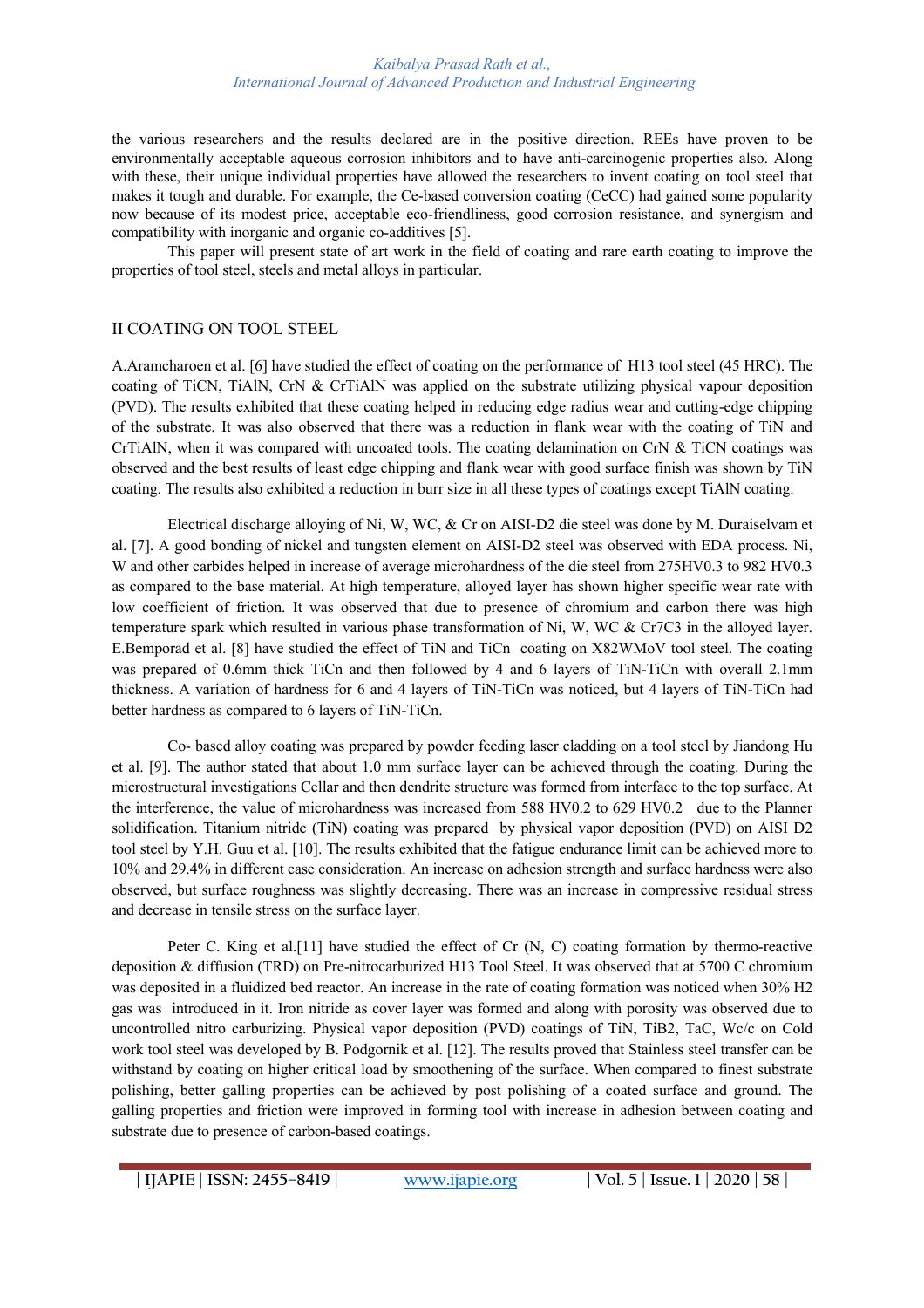#### *Kaibalya Prasad Rath et al., International Journal of Advanced Production and Industrial Engineering*

the various researchers and the results declared are in the positive direction. REEs have proven to be environmentally acceptable aqueous corrosion inhibitors and to have anti-carcinogenic properties also. Along with these, their unique individual properties have allowed the researchers to invent coating on tool steel that makes it tough and durable. For example, the Ce-based conversion coating (CeCC) had gained some popularity now because of its modest price, acceptable eco-friendliness, good corrosion resistance, and synergism and compatibility with inorganic and organic co-additives [5].

This paper will present state of art work in the field of coating and rare earth coating to improve the properties of tool steel, steels and metal alloys in particular.

## II COATING ON TOOL STEEL

A.Aramcharoen et al. [6] have studied the effect of coating on the performance of H13 tool steel (45 HRC). The coating of TiCN, TiAlN, CrN & CrTiAlN was applied on the substrate utilizing physical vapour deposition (PVD). The results exhibited that these coating helped in reducing edge radius wear and cutting-edge chipping of the substrate. It was also observed that there was a reduction in flank wear with the coating of TiN and CrTiAlN, when it was compared with uncoated tools. The coating delamination on CrN & TiCN coatings was observed and the best results of least edge chipping and flank wear with good surface finish was shown by TiN coating. The results also exhibited a reduction in burr size in all these types of coatings except TiAlN coating.

Electrical discharge alloying of Ni, W, WC, & Cr on AISI-D2 die steel was done by M. Duraiselvam et al. [7]. A good bonding of nickel and tungsten element on AISI-D2 steel was observed with EDA process. Ni, W and other carbides helped in increase of average microhardness of the die steel from 275HV0.3 to 982 HV0.3 as compared to the base material. At high temperature, alloyed layer has shown higher specific wear rate with low coefficient of friction. It was observed that due to presence of chromium and carbon there was high temperature spark which resulted in various phase transformation of Ni, W, WC & Cr7C3 in the alloyed layer. E.Bemporad et al. [8] have studied the effect of TiN and TiCn coating on X82WMoV tool steel. The coating was prepared of 0.6mm thick TiCn and then followed by 4 and 6 layers of TiN-TiCn with overall 2.1mm thickness. A variation of hardness for 6 and 4 layers of TiN-TiCn was noticed, but 4 layers of TiN-TiCn had better hardness as compared to 6 layers of TiN-TiCn.

Co- based alloy coating was prepared by powder feeding laser cladding on a tool steel by Jiandong Hu et al. [9]. The author stated that about 1.0 mm surface layer can be achieved through the coating. During the microstructural investigations Cellar and then dendrite structure was formed from interface to the top surface. At the interference, the value of microhardness was increased from 588 HV0.2 to 629 HV0.2 due to the Planner solidification. Titanium nitride (TiN) coating was prepared by physical vapor deposition (PVD) on AISI D2 tool steel by Y.H. Guu et al. [10]. The results exhibited that the fatigue endurance limit can be achieved more to 10% and 29.4% in different case consideration. An increase on adhesion strength and surface hardness were also observed, but surface roughness was slightly decreasing. There was an increase in compressive residual stress and decrease in tensile stress on the surface layer.

Peter C. King et al. [11] have studied the effect of Cr  $(N, C)$  coating formation by thermo-reactive deposition & diffusion (TRD) on Pre-nitrocarburized H13 Tool Steel. It was observed that at 5700 C chromium was deposited in a fluidized bed reactor. An increase in the rate of coating formation was noticed when 30% H2 gas was introduced in it. Iron nitride as cover layer was formed and along with porosity was observed due to uncontrolled nitro carburizing. Physical vapor deposition (PVD) coatings of TiN, TiB2, TaC, Wc/c on Cold work tool steel was developed by B. Podgornik et al. [12]. The results proved that Stainless steel transfer can be withstand by coating on higher critical load by smoothening of the surface. When compared to finest substrate polishing, better galling properties can be achieved by post polishing of a coated surface and ground. The galling properties and friction were improved in forming tool with increase in adhesion between coating and substrate due to presence of carbon-based coatings.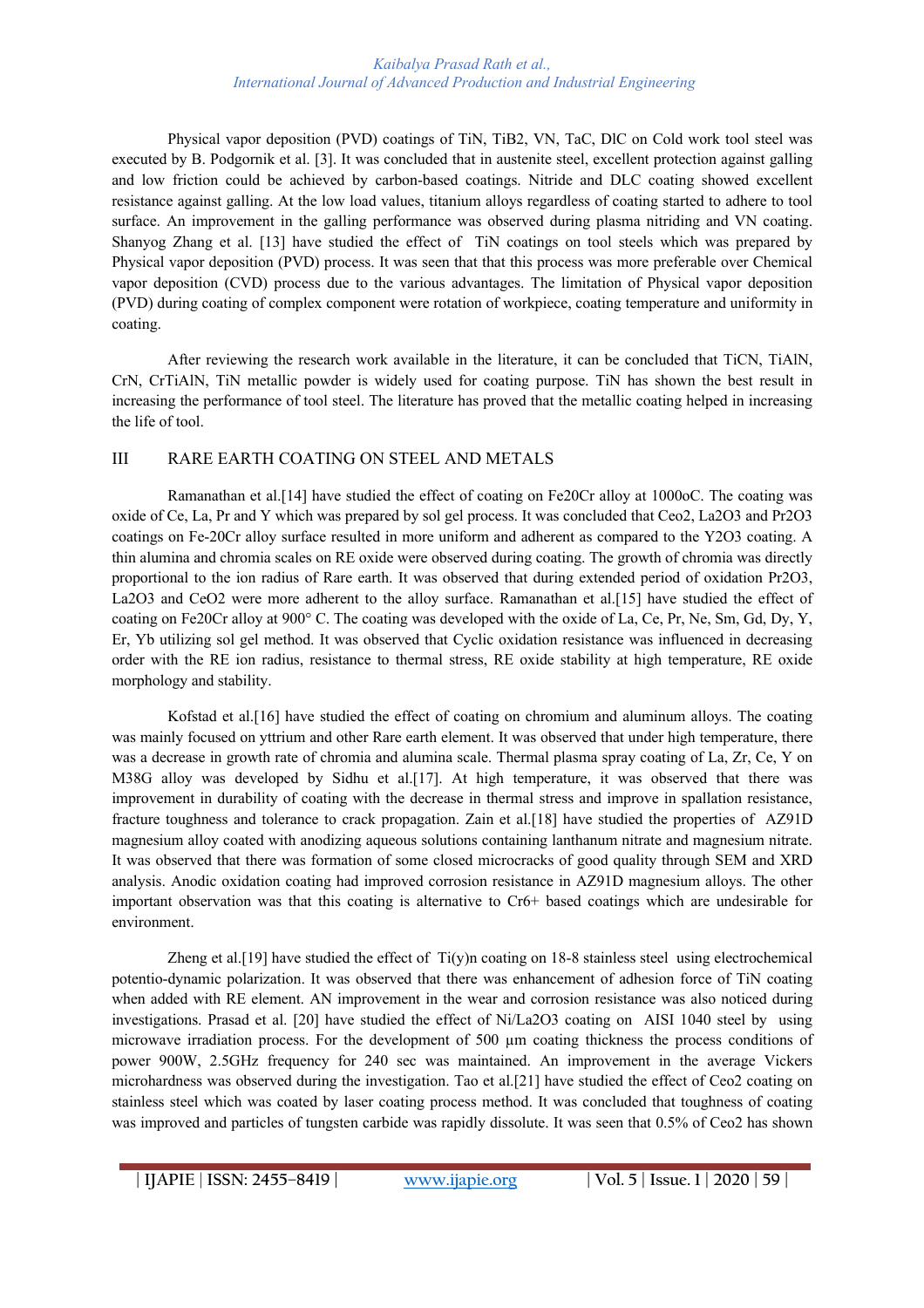#### *Kaibalya Prasad Rath et al., International Journal of Advanced Production and Industrial Engineering*

Physical vapor deposition (PVD) coatings of TiN, TiB2, VN, TaC, DlC on Cold work tool steel was executed by B. Podgornik et al. [3]. It was concluded that in austenite steel, excellent protection against galling and low friction could be achieved by carbon-based coatings. Nitride and DLC coating showed excellent resistance against galling. At the low load values, titanium alloys regardless of coating started to adhere to tool surface. An improvement in the galling performance was observed during plasma nitriding and VN coating. Shanyog Zhang et al. [13] have studied the effect of TiN coatings on tool steels which was prepared by Physical vapor deposition (PVD) process. It was seen that that this process was more preferable over Chemical vapor deposition (CVD) process due to the various advantages. The limitation of Physical vapor deposition (PVD) during coating of complex component were rotation of workpiece, coating temperature and uniformity in coating.

After reviewing the research work available in the literature, it can be concluded that TiCN, TiAlN, CrN, CrTiAlN, TiN metallic powder is widely used for coating purpose. TiN has shown the best result in increasing the performance of tool steel. The literature has proved that the metallic coating helped in increasing the life of tool.

## III RARE EARTH COATING ON STEEL AND METALS

Ramanathan et al.[14] have studied the effect of coating on Fe20Cr alloy at 1000oC. The coating was oxide of Ce, La, Pr and Y which was prepared by sol gel process. It was concluded that Ceo2, La2O3 and Pr2O3 coatings on Fe-20Cr alloy surface resulted in more uniform and adherent as compared to the Y2O3 coating. A thin alumina and chromia scales on RE oxide were observed during coating. The growth of chromia was directly proportional to the ion radius of Rare earth. It was observed that during extended period of oxidation Pr2O3, La2O3 and CeO2 were more adherent to the alloy surface. Ramanathan et al. [15] have studied the effect of coating on Fe20Cr alloy at 900° C. The coating was developed with the oxide of La, Ce, Pr, Ne, Sm, Gd, Dy, Y, Er, Yb utilizing sol gel method. It was observed that Cyclic oxidation resistance was influenced in decreasing order with the RE ion radius, resistance to thermal stress, RE oxide stability at high temperature, RE oxide morphology and stability.

Kofstad et al.[16] have studied the effect of coating on chromium and aluminum alloys. The coating was mainly focused on yttrium and other Rare earth element. It was observed that under high temperature, there was a decrease in growth rate of chromia and alumina scale. Thermal plasma spray coating of La, Zr, Ce, Y on M38G alloy was developed by Sidhu et al.[17]. At high temperature, it was observed that there was improvement in durability of coating with the decrease in thermal stress and improve in spallation resistance, fracture toughness and tolerance to crack propagation. Zain et al.[18] have studied the properties of AZ91D magnesium alloy coated with anodizing aqueous solutions containing lanthanum nitrate and magnesium nitrate. It was observed that there was formation of some closed microcracks of good quality through SEM and XRD analysis. Anodic oxidation coating had improved corrosion resistance in AZ91D magnesium alloys. The other important observation was that this coating is alternative to Cr6+ based coatings which are undesirable for environment.

Zheng et al. [19] have studied the effect of  $Ti(y)$ n coating on 18-8 stainless steel using electrochemical potentio-dynamic polarization. It was observed that there was enhancement of adhesion force of TiN coating when added with RE element. AN improvement in the wear and corrosion resistance was also noticed during investigations. Prasad et al. [20] have studied the effect of Ni/La2O3 coating on AISI 1040 steel by using microwave irradiation process. For the development of 500 µm coating thickness the process conditions of power 900W, 2.5GHz frequency for 240 sec was maintained. An improvement in the average Vickers microhardness was observed during the investigation. Tao et al.[21] have studied the effect of Ceo2 coating on stainless steel which was coated by laser coating process method. It was concluded that toughness of coating was improved and particles of tungsten carbide was rapidly dissolute. It was seen that 0.5% of Ceo2 has shown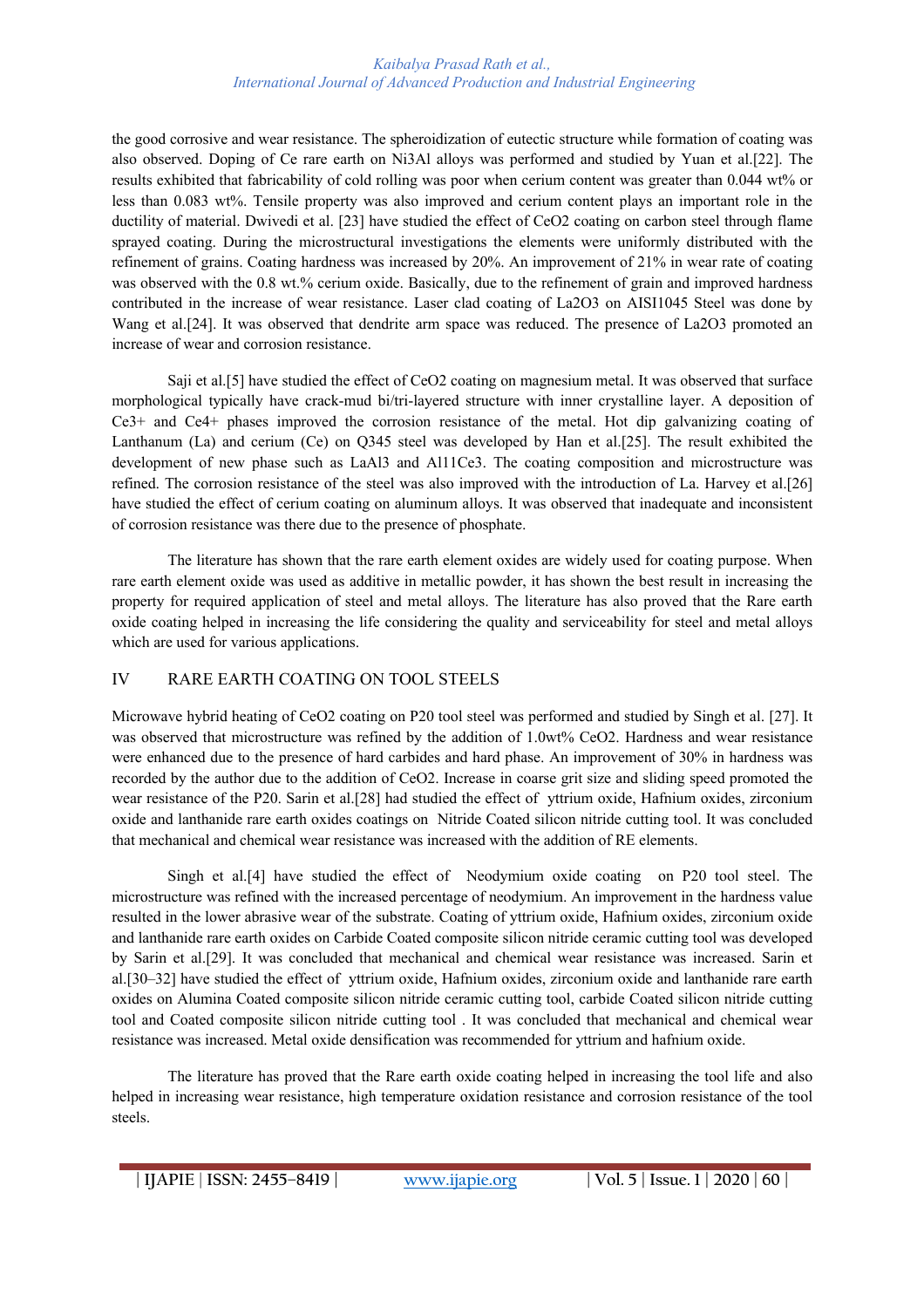#### *Kaibalya Prasad Rath et al., International Journal of Advanced Production and Industrial Engineering*

the good corrosive and wear resistance. The spheroidization of eutectic structure while formation of coating was also observed. Doping of Ce rare earth on Ni3Al alloys was performed and studied by Yuan et al.[22]. The results exhibited that fabricability of cold rolling was poor when cerium content was greater than 0.044 wt% or less than 0.083 wt%. Tensile property was also improved and cerium content plays an important role in the ductility of material. Dwivedi et al. [23] have studied the effect of CeO2 coating on carbon steel through flame sprayed coating. During the microstructural investigations the elements were uniformly distributed with the refinement of grains. Coating hardness was increased by 20%. An improvement of 21% in wear rate of coating was observed with the 0.8 wt.% cerium oxide. Basically, due to the refinement of grain and improved hardness contributed in the increase of wear resistance. Laser clad coating of La2O3 on AISI1045 Steel was done by Wang et al.[24]. It was observed that dendrite arm space was reduced. The presence of La2O3 promoted an increase of wear and corrosion resistance.

Saji et al.[5] have studied the effect of CeO2 coating on magnesium metal. It was observed that surface morphological typically have crack-mud bi/tri-layered structure with inner crystalline layer. A deposition of Ce3+ and Ce4+ phases improved the corrosion resistance of the metal. Hot dip galvanizing coating of Lanthanum (La) and cerium (Ce) on Q345 steel was developed by Han et al.[25]. The result exhibited the development of new phase such as LaAl3 and Al11Ce3. The coating composition and microstructure was refined. The corrosion resistance of the steel was also improved with the introduction of La. Harvey et al.[26] have studied the effect of cerium coating on aluminum alloys. It was observed that inadequate and inconsistent of corrosion resistance was there due to the presence of phosphate.

The literature has shown that the rare earth element oxides are widely used for coating purpose. When rare earth element oxide was used as additive in metallic powder, it has shown the best result in increasing the property for required application of steel and metal alloys. The literature has also proved that the Rare earth oxide coating helped in increasing the life considering the quality and serviceability for steel and metal alloys which are used for various applications.

## IV RARE EARTH COATING ON TOOL STEELS

Microwave hybrid heating of CeO2 coating on P20 tool steel was performed and studied by Singh et al. [27]. It was observed that microstructure was refined by the addition of 1.0wt% CeO2. Hardness and wear resistance were enhanced due to the presence of hard carbides and hard phase. An improvement of 30% in hardness was recorded by the author due to the addition of CeO2. Increase in coarse grit size and sliding speed promoted the wear resistance of the P20. Sarin et al.[28] had studied the effect of yttrium oxide, Hafnium oxides, zirconium oxide and lanthanide rare earth oxides coatings on Nitride Coated silicon nitride cutting tool. It was concluded that mechanical and chemical wear resistance was increased with the addition of RE elements.

Singh et al.[4] have studied the effect of Neodymium oxide coating on P20 tool steel. The microstructure was refined with the increased percentage of neodymium. An improvement in the hardness value resulted in the lower abrasive wear of the substrate. Coating of yttrium oxide, Hafnium oxides, zirconium oxide and lanthanide rare earth oxides on Carbide Coated composite silicon nitride ceramic cutting tool was developed by Sarin et al.[29]. It was concluded that mechanical and chemical wear resistance was increased. Sarin et al.[30–32] have studied the effect of yttrium oxide, Hafnium oxides, zirconium oxide and lanthanide rare earth oxides on Alumina Coated composite silicon nitride ceramic cutting tool, carbide Coated silicon nitride cutting tool and Coated composite silicon nitride cutting tool . It was concluded that mechanical and chemical wear resistance was increased. Metal oxide densification was recommended for yttrium and hafnium oxide.

The literature has proved that the Rare earth oxide coating helped in increasing the tool life and also helped in increasing wear resistance, high temperature oxidation resistance and corrosion resistance of the tool steels.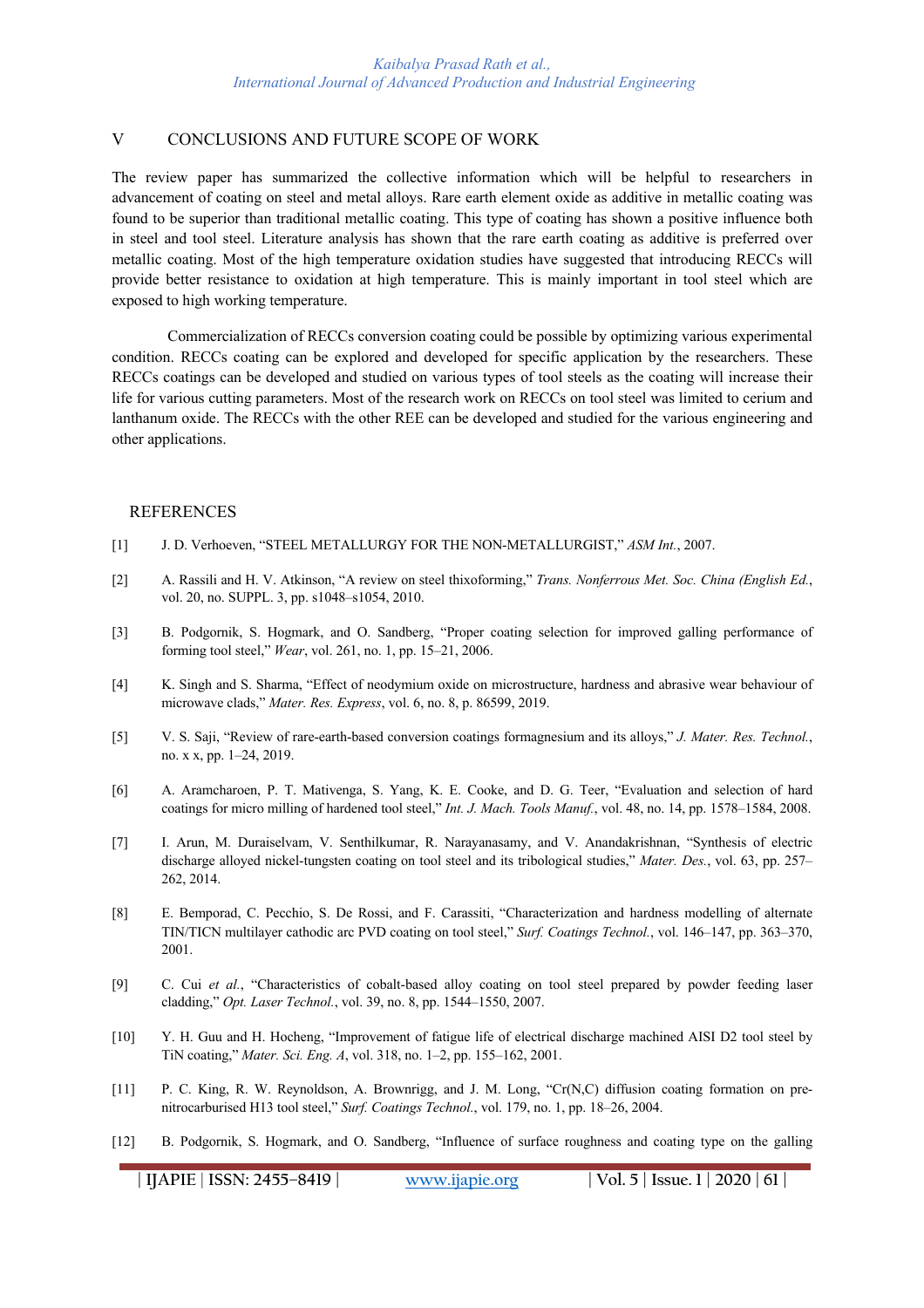## V CONCLUSIONS AND FUTURE SCOPE OF WORK

The review paper has summarized the collective information which will be helpful to researchers in advancement of coating on steel and metal alloys. Rare earth element oxide as additive in metallic coating was found to be superior than traditional metallic coating. This type of coating has shown a positive influence both in steel and tool steel. Literature analysis has shown that the rare earth coating as additive is preferred over metallic coating. Most of the high temperature oxidation studies have suggested that introducing RECCs will provide better resistance to oxidation at high temperature. This is mainly important in tool steel which are exposed to high working temperature.

Commercialization of RECCs conversion coating could be possible by optimizing various experimental condition. RECCs coating can be explored and developed for specific application by the researchers. These RECCs coatings can be developed and studied on various types of tool steels as the coating will increase their life for various cutting parameters. Most of the research work on RECCs on tool steel was limited to cerium and lanthanum oxide. The RECCs with the other REE can be developed and studied for the various engineering and other applications.

#### REFERENCES

- [1] J. D. Verhoeven, "STEEL METALLURGY FOR THE NON-METALLURGIST," *ASM Int.*, 2007.
- [2] A. Rassili and H. V. Atkinson, "A review on steel thixoforming," *Trans. Nonferrous Met. Soc. China (English Ed.*, vol. 20, no. SUPPL. 3, pp. s1048–s1054, 2010.
- [3] B. Podgornik, S. Hogmark, and O. Sandberg, "Proper coating selection for improved galling performance of forming tool steel," *Wear*, vol. 261, no. 1, pp. 15–21, 2006.
- [4] K. Singh and S. Sharma, "Effect of neodymium oxide on microstructure, hardness and abrasive wear behaviour of microwave clads," *Mater. Res. Express*, vol. 6, no. 8, p. 86599, 2019.
- [5] V. S. Saji, "Review of rare-earth-based conversion coatings formagnesium and its alloys," *J. Mater. Res. Technol.*, no. x x, pp. 1–24, 2019.
- [6] A. Aramcharoen, P. T. Mativenga, S. Yang, K. E. Cooke, and D. G. Teer, "Evaluation and selection of hard coatings for micro milling of hardened tool steel," *Int. J. Mach. Tools Manuf.*, vol. 48, no. 14, pp. 1578–1584, 2008.
- [7] I. Arun, M. Duraiselvam, V. Senthilkumar, R. Narayanasamy, and V. Anandakrishnan, "Synthesis of electric discharge alloyed nickel-tungsten coating on tool steel and its tribological studies," *Mater. Des.*, vol. 63, pp. 257– 262, 2014.
- [8] E. Bemporad, C. Pecchio, S. De Rossi, and F. Carassiti, "Characterization and hardness modelling of alternate TIN/TICN multilayer cathodic arc PVD coating on tool steel," *Surf. Coatings Technol.*, vol. 146–147, pp. 363–370, 2001.
- [9] C. Cui et al., "Characteristics of cobalt-based alloy coating on tool steel prepared by powder feeding laser cladding," *Opt. Laser Technol.*, vol. 39, no. 8, pp. 1544–1550, 2007.
- [10] Y. H. Guu and H. Hocheng, "Improvement of fatigue life of electrical discharge machined AISI D2 tool steel by TiN coating," *Mater. Sci. Eng. A*, vol. 318, no. 1–2, pp. 155–162, 2001.
- [11] P. C. King, R. W. Reynoldson, A. Brownrigg, and J. M. Long, "Cr(N,C) diffusion coating formation on prenitrocarburised H13 tool steel," *Surf. Coatings Technol.*, vol. 179, no. 1, pp. 18–26, 2004.
- [12] B. Podgornik, S. Hogmark, and O. Sandberg, "Influence of surface roughness and coating type on the galling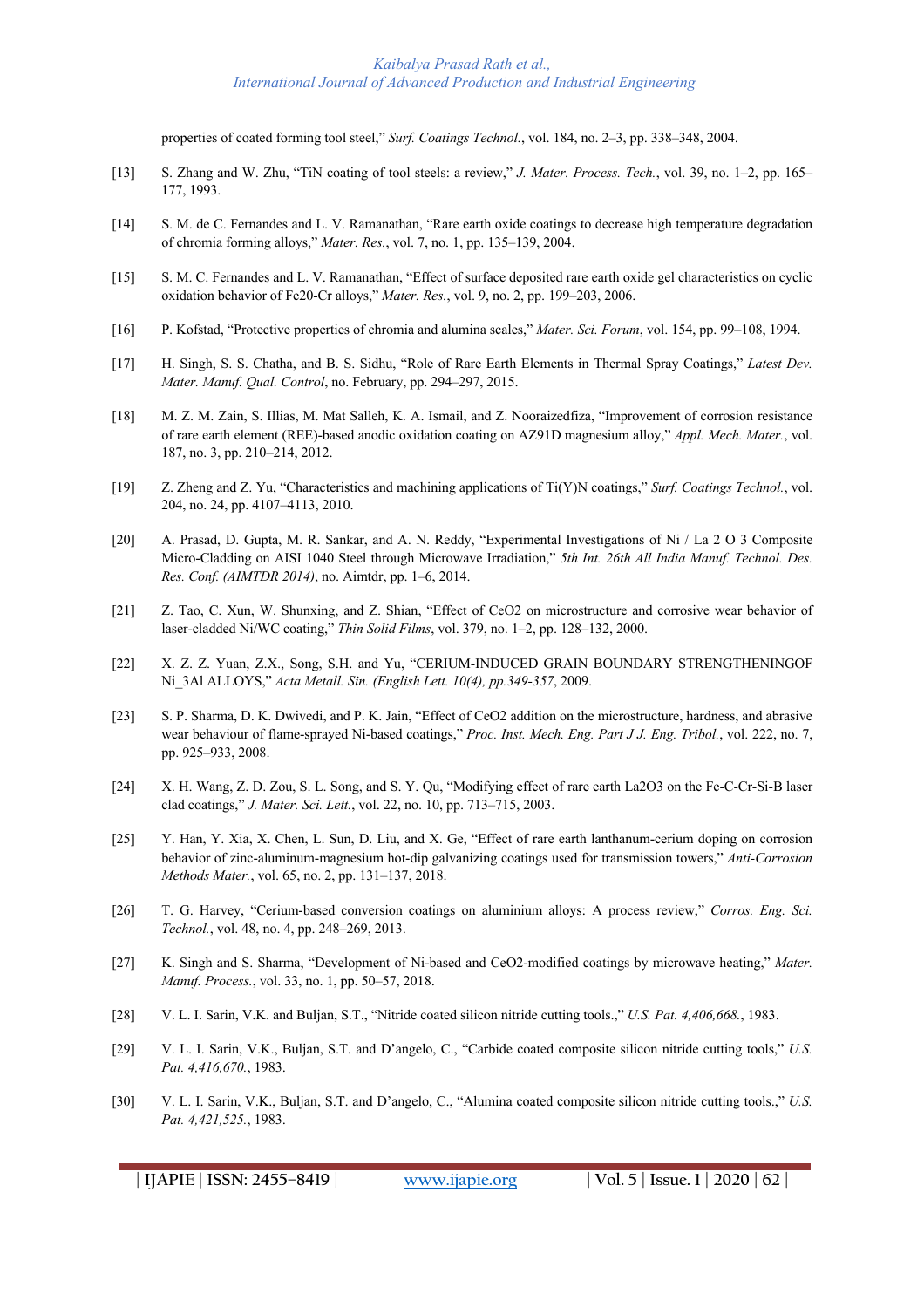properties of coated forming tool steel," *Surf. Coatings Technol.*, vol. 184, no. 2–3, pp. 338–348, 2004.

- [13] S. Zhang and W. Zhu, "TiN coating of tool steels: a review," *J. Mater. Process. Tech.*, vol. 39, no. 1–2, pp. 165– 177, 1993.
- [14] S. M. de C. Fernandes and L. V. Ramanathan, "Rare earth oxide coatings to decrease high temperature degradation of chromia forming alloys," *Mater. Res.*, vol. 7, no. 1, pp. 135–139, 2004.
- [15] S. M. C. Fernandes and L. V. Ramanathan, "Effect of surface deposited rare earth oxide gel characteristics on cyclic oxidation behavior of Fe20-Cr alloys," *Mater. Res.*, vol. 9, no. 2, pp. 199–203, 2006.
- [16] P. Kofstad, "Protective properties of chromia and alumina scales," *Mater. Sci. Forum*, vol. 154, pp. 99–108, 1994.
- [17] H. Singh, S. S. Chatha, and B. S. Sidhu, "Role of Rare Earth Elements in Thermal Spray Coatings," *Latest Dev. Mater. Manuf. Qual. Control*, no. February, pp. 294–297, 2015.
- [18] M. Z. M. Zain, S. Illias, M. Mat Salleh, K. A. Ismail, and Z. Nooraizedfiza, "Improvement of corrosion resistance of rare earth element (REE)-based anodic oxidation coating on AZ91D magnesium alloy," *Appl. Mech. Mater.*, vol. 187, no. 3, pp. 210–214, 2012.
- [19] Z. Zheng and Z. Yu, "Characteristics and machining applications of Ti(Y)N coatings," *Surf. Coatings Technol.*, vol. 204, no. 24, pp. 4107–4113, 2010.
- [20] A. Prasad, D. Gupta, M. R. Sankar, and A. N. Reddy, "Experimental Investigations of Ni / La 2 O 3 Composite Micro-Cladding on AISI 1040 Steel through Microwave Irradiation," *5th Int. 26th All India Manuf. Technol. Des. Res. Conf. (AIMTDR 2014)*, no. Aimtdr, pp. 1–6, 2014.
- [21] Z. Tao, C. Xun, W. Shunxing, and Z. Shian, "Effect of CeO2 on microstructure and corrosive wear behavior of laser-cladded Ni/WC coating," *Thin Solid Films*, vol. 379, no. 1–2, pp. 128–132, 2000.
- [22] X. Z. Z. Yuan, Z.X., Song, S.H. and Yu, "CERIUM-INDUCED GRAIN BOUNDARY STRENGTHENINGOF Ni\_3Al ALLOYS," *Acta Metall. Sin. (English Lett. 10(4), pp.349-357*, 2009.
- [23] S. P. Sharma, D. K. Dwivedi, and P. K. Jain, "Effect of CeO2 addition on the microstructure, hardness, and abrasive wear behaviour of flame-sprayed Ni-based coatings," *Proc. Inst. Mech. Eng. Part J J. Eng. Tribol.*, vol. 222, no. 7, pp. 925–933, 2008.
- [24] X. H. Wang, Z. D. Zou, S. L. Song, and S. Y. Qu, "Modifying effect of rare earth La2O3 on the Fe-C-Cr-Si-B laser clad coatings," *J. Mater. Sci. Lett.*, vol. 22, no. 10, pp. 713–715, 2003.
- [25] Y. Han, Y. Xia, X. Chen, L. Sun, D. Liu, and X. Ge, "Effect of rare earth lanthanum-cerium doping on corrosion behavior of zinc-aluminum-magnesium hot-dip galvanizing coatings used for transmission towers," *Anti-Corrosion Methods Mater.*, vol. 65, no. 2, pp. 131–137, 2018.
- [26] T. G. Harvey, "Cerium-based conversion coatings on aluminium alloys: A process review," *Corros. Eng. Sci. Technol.*, vol. 48, no. 4, pp. 248–269, 2013.
- [27] K. Singh and S. Sharma, "Development of Ni-based and CeO2-modified coatings by microwave heating," *Mater. Manuf. Process.*, vol. 33, no. 1, pp. 50–57, 2018.
- [28] V. L. I. Sarin, V.K. and Buljan, S.T., "Nitride coated silicon nitride cutting tools.," *U.S. Pat. 4,406,668.*, 1983.
- [29] V. L. I. Sarin, V.K., Buljan, S.T. and D'angelo, C., "Carbide coated composite silicon nitride cutting tools," *U.S. Pat. 4,416,670.*, 1983.
- [30] V. L. I. Sarin, V.K., Buljan, S.T. and D'angelo, C., "Alumina coated composite silicon nitride cutting tools.," *U.S. Pat. 4,421,525.*, 1983.